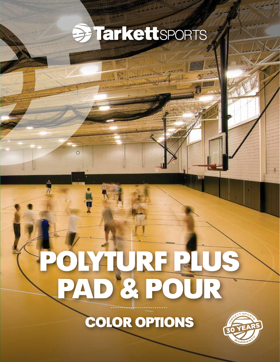## **BETREttSPORTS**

# POLYTURF PLUS PAD & POUR

 $\circ$ 

### COLOR OPTIONS

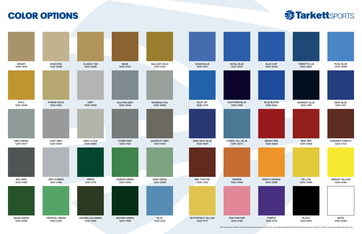

*This handout is used for illustrative purposes only and is not an accurate representation of the actual product. As such, its size, colors and materials may vary.*



#### COLOR OPTIONS